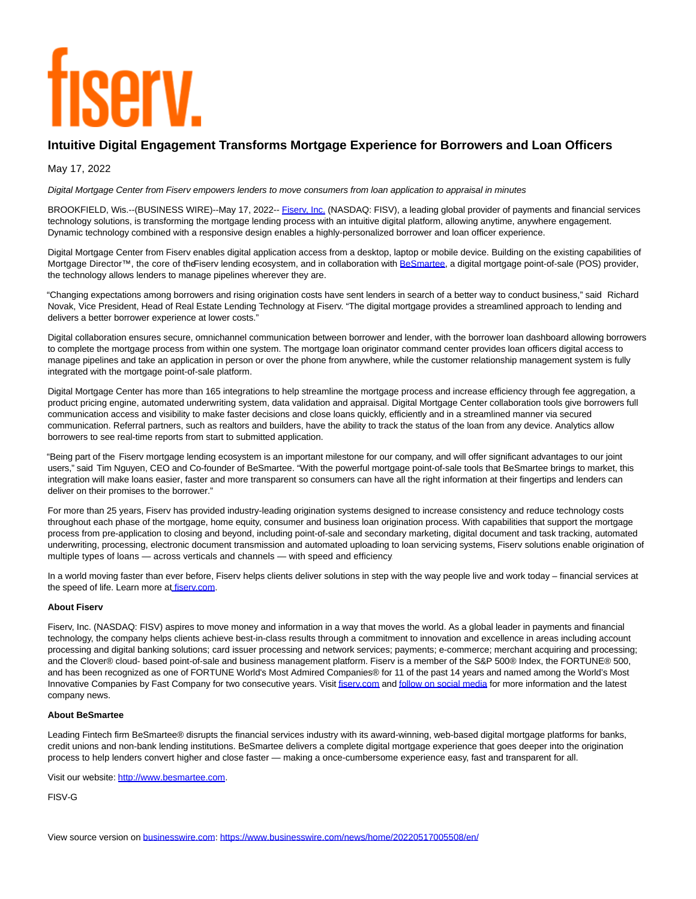# **TISEIV**

# **Intuitive Digital Engagement Transforms Mortgage Experience for Borrowers and Loan Officers**

May 17, 2022

Digital Mortgage Center from Fiserv empowers lenders to move consumers from loan application to appraisal in minutes

BROOKFIELD, Wis.--(BUSINESS WIRE)--May 17, 2022-- Fisery, Inc. (NASDAQ: FISV), a leading global provider of payments and financial services technology solutions, is transforming the mortgage lending process with an intuitive digital platform, allowing anytime, anywhere engagement. Dynamic technology combined with a responsive design enables a highly-personalized borrower and loan officer experience.

Digital Mortgage Center from Fiserv enables digital application access from a desktop, laptop or mobile device. Building on the existing capabilities of Mortgage Director™, the core of the Fiserv lending ecosystem, and in collaboration with [BeSmartee,](https://cts.businesswire.com/ct/CT?id=smartlink&url=https%3A%2F%2Fwww.besmartee.com%2F&esheet=52721783&newsitemid=20220517005508&lan=en-US&anchor=BeSmartee&index=2&md5=e1b219e0dc7ca76ff4a4d7e2bc1fc127) a digital mortgage point-of-sale (POS) provider, the technology allows lenders to manage pipelines wherever they are.

"Changing expectations among borrowers and rising origination costs have sent lenders in search of a better way to conduct business," said Richard Novak, Vice President, Head of Real Estate Lending Technology at Fiserv. "The digital mortgage provides a streamlined approach to lending and delivers a better borrower experience at lower costs."

Digital collaboration ensures secure, omnichannel communication between borrower and lender, with the borrower loan dashboard allowing borrowers to complete the mortgage process from within one system. The mortgage loan originator command center provides loan officers digital access to manage pipelines and take an application in person or over the phone from anywhere, while the customer relationship management system is fully integrated with the mortgage point-of-sale platform.

Digital Mortgage Center has more than 165 integrations to help streamline the mortgage process and increase efficiency through fee aggregation, a product pricing engine, automated underwriting system, data validation and appraisal. Digital Mortgage Center collaboration tools give borrowers full communication access and visibility to make faster decisions and close loans quickly, efficiently and in a streamlined manner via secured communication. Referral partners, such as realtors and builders, have the ability to track the status of the loan from any device. Analytics allow borrowers to see real-time reports from start to submitted application.

"Being part of the Fiserv mortgage lending ecosystem is an important milestone for our company, and will offer significant advantages to our joint users," said Tim Nguyen, CEO and Co-founder of BeSmartee. "With the powerful mortgage point-of-sale tools that BeSmartee brings to market, this integration will make loans easier, faster and more transparent so consumers can have all the right information at their fingertips and lenders can deliver on their promises to the borrower."

For more than 25 years, Fiserv has provided industry-leading origination systems designed to increase consistency and reduce technology costs throughout each phase of the mortgage, home equity, consumer and business loan origination process. With capabilities that support the mortgage process from pre-application to closing and beyond, including point-of-sale and secondary marketing, digital document and task tracking, automated underwriting, processing, electronic document transmission and automated uploading to loan servicing systems, Fiserv solutions enable origination of multiple types of loans — across verticals and channels — with speed and efficiency.

In a world moving faster than ever before, Fiserv helps clients deliver solutions in step with the way people live and work today – financial services at the speed of life. Learn more at fisery.com.

# **About Fiserv**

Fiserv, Inc. (NASDAQ: FISV) aspires to move money and information in a way that moves the world. As a global leader in payments and financial technology, the company helps clients achieve best-in-class results through a commitment to innovation and excellence in areas including account processing and digital banking solutions; card issuer processing and network services; payments; e-commerce; merchant acquiring and processing; and the Clover® cloud- based point-of-sale and business management platform. Fiserv is a member of the S&P 500® Index, the FORTUNE® 500, and has been recognized as one of FORTUNE World's Most Admired Companies® for 11 of the past 14 years and named among the World's Most Innovative Companies by Fast Company for two consecutive years. Visit fisery.com an[d follow on social media f](https://cts.businesswire.com/ct/CT?id=smartlink&url=https%3A%2F%2Fwww.fiserv.com%2Fen%2Fabout-fiserv%2Fsocial-media.html&esheet=52721783&newsitemid=20220517005508&lan=en-US&anchor=follow+on+social+media&index=5&md5=9c0736ada31f3f5a530081f1a33f4d09)or more information and the latest company news.

### **About BeSmartee**

Leading Fintech firm BeSmartee® disrupts the financial services industry with its award-winning, web-based digital mortgage platforms for banks, credit unions and non-bank lending institutions. BeSmartee delivers a complete digital mortgage experience that goes deeper into the origination process to help lenders convert higher and close faster — making a once-cumbersome experience easy, fast and transparent for all.

Visit our website: [http://www.besmartee.com.](https://cts.businesswire.com/ct/CT?id=smartlink&url=http%3A%2F%2Fwww.besmartee.com&esheet=52721783&newsitemid=20220517005508&lan=en-US&anchor=http%3A%2F%2Fwww.besmartee.com&index=6&md5=0bb824e78febacb39a4dba88b4865938)

FISV-G